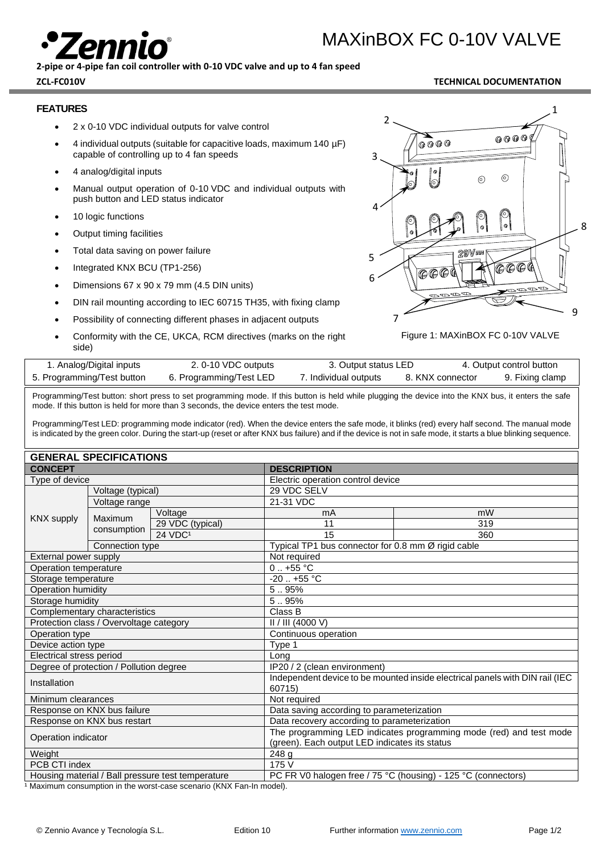

# MAXinBOX FC 0-10V VALVE

**2-pipe or 4-pipe fan coil controller with 0-10 VDC valve and up to 4 fan speed**

#### **ZCL-FC010V TECHNICAL DOCUMENTATION**

#### **FEATURES**

- 2 x 0-10 VDC individual outputs for valve control
- 4 individual outputs (suitable for capacitive loads, maximum 140 µF) capable of controlling up to 4 fan speeds
- 4 analog/digital inputs
- Manual output operation of 0-10 VDC and individual outputs with push button and LED status indicator
- 10 logic functions
- Output timing facilities
- Total data saving on power failure
- Integrated KNX BCU (TP1-256)
- Dimensions 67 x 90 x 79 mm (4.5 DIN units)
- DIN rail mounting according to IEC 60715 TH35, with fixing clamp
- Possibility of connecting different phases in adjacent outputs
- Conformity with the CE, UKCA, RCM directives (marks on the right side)



Figure 1: MAXinBOX FC 0-10V VALVE

| 1. Analog/Digital inputs   | 2. 0-10 VDC outputs     | 3. Output status LED  |                  | 4. Output control button |
|----------------------------|-------------------------|-----------------------|------------------|--------------------------|
| 5. Programming/Test button | 6. Programming/Test LED | 7. Individual outputs | 8. KNX connector | 9. Fixing clamp          |

Programming/Test button: short press to set programming mode. If this button is held while plugging the device into the KNX bus, it enters the safe mode. If this button is held for more than 3 seconds, the device enters the test mode.

Programming/Test LED: programming mode indicator (red). When the device enters the safe mode, it blinks (red) every half second. The manual mode is indicated by the green color. During the start-up (reset or after KNX bus failure) and if the device is not in safe mode, it starts a blue blinking sequence.

| <b>GENERAL SPECIFICATIONS</b>                     |                 |                                                                                                                     |                                                    |     |  |  |
|---------------------------------------------------|-----------------|---------------------------------------------------------------------------------------------------------------------|----------------------------------------------------|-----|--|--|
| <b>CONCEPT</b>                                    |                 | <b>DESCRIPTION</b>                                                                                                  |                                                    |     |  |  |
| Type of device                                    |                 |                                                                                                                     | Electric operation control device                  |     |  |  |
| Voltage (typical)                                 |                 | 29 VDC SELV                                                                                                         |                                                    |     |  |  |
| Voltage range                                     |                 |                                                                                                                     | 21-31 VDC                                          |     |  |  |
| <b>KNX supply</b>                                 | Maximum         | Voltage                                                                                                             | mA                                                 | mW  |  |  |
|                                                   |                 | 29 VDC (typical)                                                                                                    | 11                                                 | 319 |  |  |
|                                                   | consumption     | 24 VDC <sup>1</sup>                                                                                                 | 15                                                 | 360 |  |  |
|                                                   | Connection type |                                                                                                                     | Typical TP1 bus connector for 0.8 mm Ø rigid cable |     |  |  |
| External power supply                             |                 |                                                                                                                     | Not required                                       |     |  |  |
| Operation temperature                             |                 |                                                                                                                     | $0.1 + 55$ °C                                      |     |  |  |
| Storage temperature                               |                 |                                                                                                                     | $-20$ $+55$ °C                                     |     |  |  |
| <b>Operation humidity</b>                         |                 | 595%                                                                                                                |                                                    |     |  |  |
| Storage humidity                                  |                 | 5.95%                                                                                                               |                                                    |     |  |  |
| Complementary characteristics                     |                 | Class B                                                                                                             |                                                    |     |  |  |
| Protection class / Overvoltage category           |                 | II / III (4000 V)                                                                                                   |                                                    |     |  |  |
| Operation type                                    |                 | Continuous operation                                                                                                |                                                    |     |  |  |
| Device action type                                |                 | Type 1                                                                                                              |                                                    |     |  |  |
| Electrical stress period                          |                 | Lona                                                                                                                |                                                    |     |  |  |
| Degree of protection / Pollution degree           |                 | IP20 / 2 (clean environment)                                                                                        |                                                    |     |  |  |
| Installation                                      |                 | Independent device to be mounted inside electrical panels with DIN rail (IEC<br>60715)                              |                                                    |     |  |  |
| Minimum clearances                                |                 | Not required                                                                                                        |                                                    |     |  |  |
| Response on KNX bus failure                       |                 | Data saving according to parameterization                                                                           |                                                    |     |  |  |
| Response on KNX bus restart                       |                 | Data recovery according to parameterization                                                                         |                                                    |     |  |  |
| Operation indicator                               |                 | The programming LED indicates programming mode (red) and test mode<br>(green). Each output LED indicates its status |                                                    |     |  |  |
| Weight                                            |                 | 248 <sub>g</sub>                                                                                                    |                                                    |     |  |  |
| PCB CTI index                                     |                 | 175 V                                                                                                               |                                                    |     |  |  |
| Housing material / Ball pressure test temperature |                 | PC FR V0 halogen free / 75 °C (housing) - 125 °C (connectors)                                                       |                                                    |     |  |  |

1 Maximum consumption in the worst-case scenario (KNX Fan-In model).